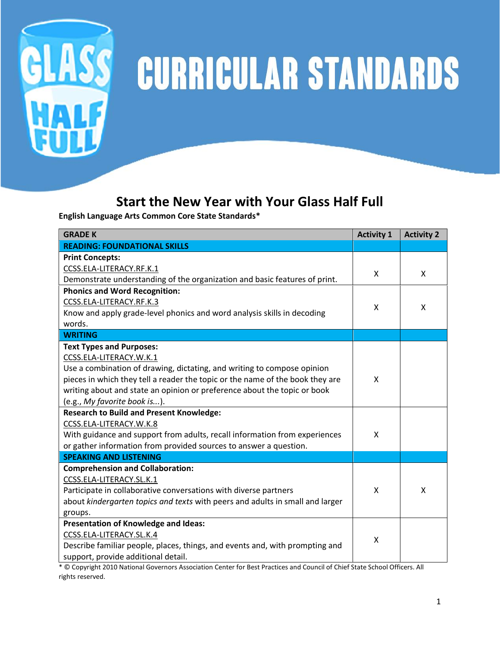

## GLASS CURRICULAR STANDARDS

## **Start the New Year with Your Glass Half Full**

**English Language Arts Common Core State Standards\***

| <b>GRADE K</b>                                                                | <b>Activity 1</b> | <b>Activity 2</b> |
|-------------------------------------------------------------------------------|-------------------|-------------------|
| <b>READING: FOUNDATIONAL SKILLS</b>                                           |                   |                   |
| <b>Print Concepts:</b>                                                        |                   |                   |
| CCSS.ELA-LITERACY.RF.K.1                                                      | X                 |                   |
| Demonstrate understanding of the organization and basic features of print.    |                   | X                 |
| <b>Phonics and Word Recognition:</b>                                          |                   |                   |
| CCSS.ELA-LITERACY.RF.K.3                                                      | X                 | X                 |
| Know and apply grade-level phonics and word analysis skills in decoding       |                   |                   |
| words.                                                                        |                   |                   |
| <b>WRITING</b>                                                                |                   |                   |
| <b>Text Types and Purposes:</b>                                               |                   |                   |
| CCSS.ELA-LITERACY.W.K.1                                                       |                   |                   |
| Use a combination of drawing, dictating, and writing to compose opinion       |                   |                   |
| pieces in which they tell a reader the topic or the name of the book they are | X                 |                   |
| writing about and state an opinion or preference about the topic or book      |                   |                   |
| (e.g., My favorite book is).                                                  |                   |                   |
| <b>Research to Build and Present Knowledge:</b>                               |                   |                   |
| CCSS.ELA-LITERACY.W.K.8                                                       |                   |                   |
| With guidance and support from adults, recall information from experiences    | X                 |                   |
| or gather information from provided sources to answer a question.             |                   |                   |
| <b>SPEAKING AND LISTENING</b>                                                 |                   |                   |
| <b>Comprehension and Collaboration:</b>                                       |                   |                   |
| CCSS.ELA-LITERACY.SL.K.1                                                      |                   |                   |
| Participate in collaborative conversations with diverse partners              | X                 | X                 |
| about kindergarten topics and texts with peers and adults in small and larger |                   |                   |
| groups.                                                                       |                   |                   |
| Presentation of Knowledge and Ideas:                                          |                   |                   |
| CCSS.ELA-LITERACY.SL.K.4                                                      | X                 |                   |
| Describe familiar people, places, things, and events and, with prompting and  |                   |                   |
| support, provide additional detail.                                           |                   |                   |

\* © Copyright 2010 National Governors Association Center for Best Practices and Council of Chief State School Officers. All rights reserved.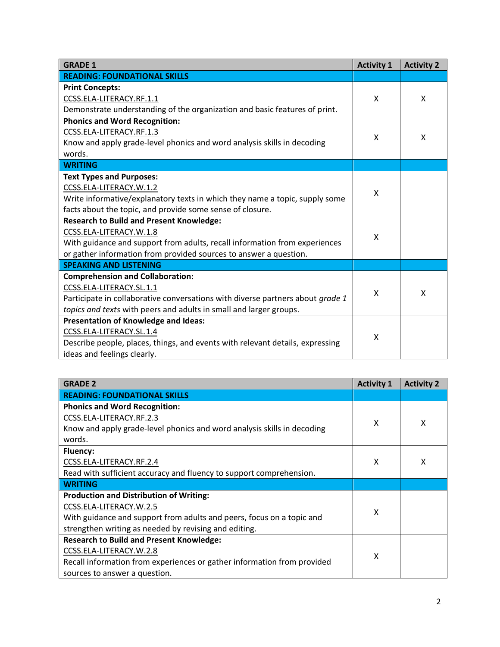| <b>GRADE 1</b>                                                                 | <b>Activity 1</b> | <b>Activity 2</b> |
|--------------------------------------------------------------------------------|-------------------|-------------------|
| <b>READING: FOUNDATIONAL SKILLS</b>                                            |                   |                   |
| <b>Print Concepts:</b>                                                         |                   |                   |
| CCSS.ELA-LITERACY.RF.1.1                                                       | X                 | x                 |
| Demonstrate understanding of the organization and basic features of print.     |                   |                   |
| <b>Phonics and Word Recognition:</b>                                           |                   |                   |
| CCSS.ELA-LITERACY.RF.1.3                                                       | X                 | X                 |
| Know and apply grade-level phonics and word analysis skills in decoding        |                   |                   |
| words.                                                                         |                   |                   |
| <b>WRITING</b>                                                                 |                   |                   |
| <b>Text Types and Purposes:</b>                                                |                   |                   |
| CCSS.ELA-LITERACY.W.1.2                                                        | X                 |                   |
| Write informative/explanatory texts in which they name a topic, supply some    |                   |                   |
| facts about the topic, and provide some sense of closure.                      |                   |                   |
| <b>Research to Build and Present Knowledge:</b>                                |                   |                   |
| CCSS.ELA-LITERACY.W.1.8                                                        | X                 |                   |
| With guidance and support from adults, recall information from experiences     |                   |                   |
| or gather information from provided sources to answer a question.              |                   |                   |
| <b>SPEAKING AND LISTENING</b>                                                  |                   |                   |
| <b>Comprehension and Collaboration:</b>                                        |                   |                   |
| CCSS.ELA-LITERACY.SL.1.1                                                       | X                 | X                 |
| Participate in collaborative conversations with diverse partners about grade 1 |                   |                   |
| topics and texts with peers and adults in small and larger groups.             |                   |                   |
| Presentation of Knowledge and Ideas:                                           |                   |                   |
| CCSS.ELA-LITERACY.SL.1.4                                                       | X                 |                   |
| Describe people, places, things, and events with relevant details, expressing  |                   |                   |
| ideas and feelings clearly.                                                    |                   |                   |

| <b>GRADE 2</b>                                                          | <b>Activity 1</b> | <b>Activity 2</b> |
|-------------------------------------------------------------------------|-------------------|-------------------|
| <b>READING: FOUNDATIONAL SKILLS</b>                                     |                   |                   |
| <b>Phonics and Word Recognition:</b>                                    |                   |                   |
| CCSS.ELA-LITERACY.RF.2.3                                                | X                 | x                 |
| Know and apply grade-level phonics and word analysis skills in decoding |                   |                   |
| words.                                                                  |                   |                   |
| <b>Fluency:</b>                                                         |                   |                   |
| CCSS.ELA-LITERACY.RF.2.4                                                | X                 | x                 |
| Read with sufficient accuracy and fluency to support comprehension.     |                   |                   |
| <b>WRITING</b>                                                          |                   |                   |
| <b>Production and Distribution of Writing:</b>                          |                   |                   |
| CCSS.ELA-LITERACY.W.2.5                                                 | x                 |                   |
| With guidance and support from adults and peers, focus on a topic and   |                   |                   |
| strengthen writing as needed by revising and editing.                   |                   |                   |
| <b>Research to Build and Present Knowledge:</b>                         |                   |                   |
| CCSS.ELA-LITERACY.W.2.8                                                 | X                 |                   |
| Recall information from experiences or gather information from provided |                   |                   |
| sources to answer a question.                                           |                   |                   |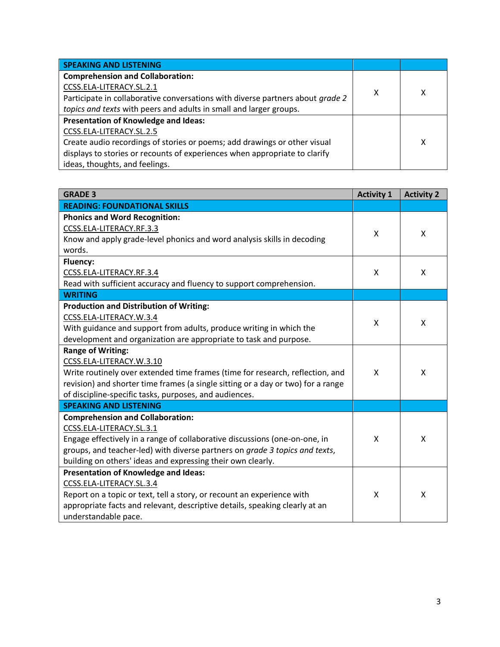| <b>SPEAKING AND LISTENING</b>                                                  |   |   |
|--------------------------------------------------------------------------------|---|---|
| <b>Comprehension and Collaboration:</b>                                        |   |   |
| CCSS.ELA-LITERACY.SL.2.1                                                       | х | χ |
| Participate in collaborative conversations with diverse partners about grade 2 |   |   |
| topics and texts with peers and adults in small and larger groups.             |   |   |
| Presentation of Knowledge and Ideas:                                           |   |   |
| CCSS.ELA-LITERACY.SL.2.5                                                       |   |   |
| Create audio recordings of stories or poems; add drawings or other visual      |   | x |
| displays to stories or recounts of experiences when appropriate to clarify     |   |   |
| ideas, thoughts, and feelings.                                                 |   |   |

| <b>GRADE 3</b>                                                                   | <b>Activity 1</b> | <b>Activity 2</b> |
|----------------------------------------------------------------------------------|-------------------|-------------------|
| <b>READING: FOUNDATIONAL SKILLS</b>                                              |                   |                   |
| <b>Phonics and Word Recognition:</b>                                             |                   |                   |
| CCSS.ELA-LITERACY.RF.3.3                                                         | X                 | X                 |
| Know and apply grade-level phonics and word analysis skills in decoding          |                   |                   |
| words.                                                                           |                   |                   |
| Fluency:                                                                         |                   |                   |
| CCSS.ELA-LITERACY.RF.3.4                                                         | X                 | X                 |
| Read with sufficient accuracy and fluency to support comprehension.              |                   |                   |
| <b>WRITING</b>                                                                   |                   |                   |
| <b>Production and Distribution of Writing:</b>                                   |                   |                   |
| CCSS.ELA-LITERACY.W.3.4                                                          | X                 | X                 |
| With guidance and support from adults, produce writing in which the              |                   |                   |
| development and organization are appropriate to task and purpose.                |                   |                   |
| <b>Range of Writing:</b>                                                         |                   |                   |
| CCSS.ELA-LITERACY.W.3.10                                                         |                   |                   |
| Write routinely over extended time frames (time for research, reflection, and    | X                 | X                 |
| revision) and shorter time frames (a single sitting or a day or two) for a range |                   |                   |
| of discipline-specific tasks, purposes, and audiences.                           |                   |                   |
| <b>SPEAKING AND LISTENING</b>                                                    |                   |                   |
| <b>Comprehension and Collaboration:</b>                                          |                   |                   |
| CCSS.ELA-LITERACY.SL.3.1                                                         |                   |                   |
| Engage effectively in a range of collaborative discussions (one-on-one, in       | X                 | X                 |
| groups, and teacher-led) with diverse partners on grade 3 topics and texts,      |                   |                   |
| building on others' ideas and expressing their own clearly.                      |                   |                   |
| Presentation of Knowledge and Ideas:                                             |                   |                   |
| CCSS.ELA-LITERACY.SL.3.4                                                         |                   |                   |
| Report on a topic or text, tell a story, or recount an experience with           | X                 | Χ                 |
| appropriate facts and relevant, descriptive details, speaking clearly at an      |                   |                   |
| understandable pace.                                                             |                   |                   |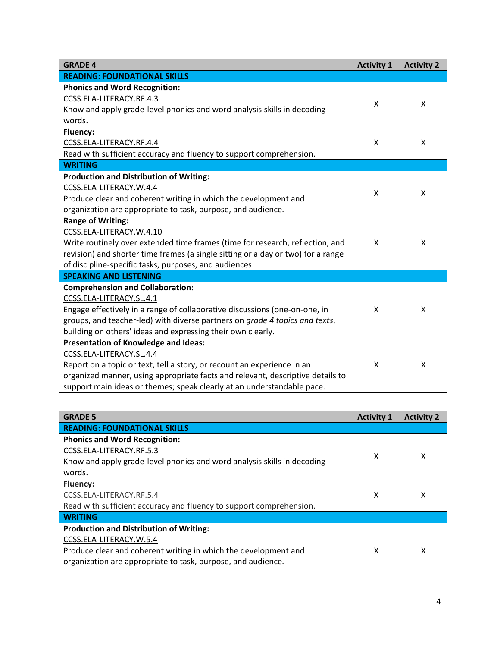| <b>GRADE 4</b>                                                                   | <b>Activity 1</b> | <b>Activity 2</b> |
|----------------------------------------------------------------------------------|-------------------|-------------------|
| <b>READING: FOUNDATIONAL SKILLS</b>                                              |                   |                   |
| <b>Phonics and Word Recognition:</b>                                             |                   |                   |
| CCSS.ELA-LITERACY.RF.4.3                                                         | X                 | X                 |
| Know and apply grade-level phonics and word analysis skills in decoding          |                   |                   |
| words.                                                                           |                   |                   |
| <b>Fluency:</b>                                                                  |                   |                   |
| CCSS.ELA-LITERACY.RF.4.4                                                         | X                 | X                 |
| Read with sufficient accuracy and fluency to support comprehension.              |                   |                   |
| <b>WRITING</b>                                                                   |                   |                   |
| <b>Production and Distribution of Writing:</b>                                   |                   |                   |
| CCSS.ELA-LITERACY.W.4.4                                                          | X                 | X                 |
| Produce clear and coherent writing in which the development and                  |                   |                   |
| organization are appropriate to task, purpose, and audience.                     |                   |                   |
| <b>Range of Writing:</b>                                                         |                   |                   |
| CCSS.ELA-LITERACY.W.4.10                                                         |                   |                   |
| Write routinely over extended time frames (time for research, reflection, and    | X                 | X                 |
| revision) and shorter time frames (a single sitting or a day or two) for a range |                   |                   |
| of discipline-specific tasks, purposes, and audiences.                           |                   |                   |
| <b>SPEAKING AND LISTENING</b>                                                    |                   |                   |
| <b>Comprehension and Collaboration:</b>                                          |                   |                   |
| CCSS.ELA-LITERACY.SL.4.1                                                         |                   |                   |
| Engage effectively in a range of collaborative discussions (one-on-one, in       | X                 | X                 |
| groups, and teacher-led) with diverse partners on grade 4 topics and texts,      |                   |                   |
| building on others' ideas and expressing their own clearly.                      |                   |                   |
| <b>Presentation of Knowledge and Ideas:</b>                                      |                   |                   |
| CCSS.ELA-LITERACY.SL.4.4                                                         |                   |                   |
| Report on a topic or text, tell a story, or recount an experience in an          | X                 | Χ                 |
| organized manner, using appropriate facts and relevant, descriptive details to   |                   |                   |
| support main ideas or themes; speak clearly at an understandable pace.           |                   |                   |

| <b>GRADE 5</b>                                                          | <b>Activity 1</b> | <b>Activity 2</b> |
|-------------------------------------------------------------------------|-------------------|-------------------|
| <b>READING: FOUNDATIONAL SKILLS</b>                                     |                   |                   |
| <b>Phonics and Word Recognition:</b>                                    |                   |                   |
| CCSS.ELA-LITERACY.RF.5.3                                                | x                 | x                 |
| Know and apply grade-level phonics and word analysis skills in decoding |                   |                   |
| words.                                                                  |                   |                   |
| <b>Fluency:</b>                                                         |                   |                   |
| CCSS.ELA-LITERACY.RF.5.4                                                | x                 | х                 |
| Read with sufficient accuracy and fluency to support comprehension.     |                   |                   |
| <b>WRITING</b>                                                          |                   |                   |
| <b>Production and Distribution of Writing:</b>                          |                   |                   |
| CCSS.ELA-LITERACY.W.5.4                                                 |                   |                   |
| Produce clear and coherent writing in which the development and         | x                 | x                 |
| organization are appropriate to task, purpose, and audience.            |                   |                   |
|                                                                         |                   |                   |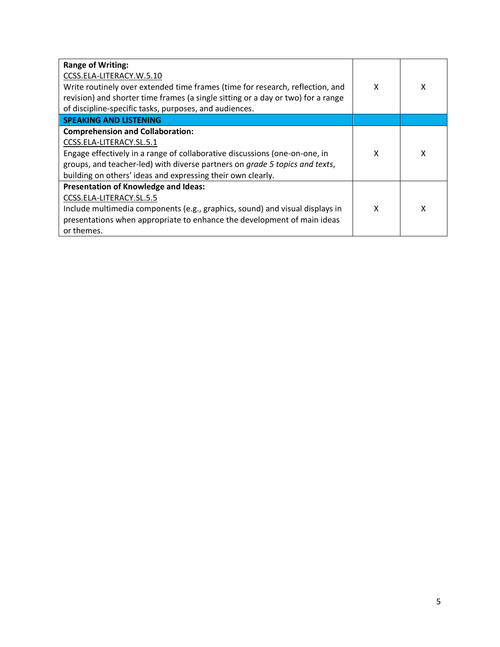| <b>Range of Writing:</b><br>CCSS.ELA-LITERACY.W.5.10<br>Write routinely over extended time frames (time for research, reflection, and<br>revision) and shorter time frames (a single sitting or a day or two) for a range<br>of discipline-specific tasks, purposes, and audiences.             | X | x |
|-------------------------------------------------------------------------------------------------------------------------------------------------------------------------------------------------------------------------------------------------------------------------------------------------|---|---|
| <b>SPEAKING AND LISTENING</b>                                                                                                                                                                                                                                                                   |   |   |
| <b>Comprehension and Collaboration:</b><br>CCSS.ELA-LITERACY.SL.5.1<br>Engage effectively in a range of collaborative discussions (one-on-one, in<br>groups, and teacher-led) with diverse partners on grade 5 topics and texts,<br>building on others' ideas and expressing their own clearly. | x |   |
| <b>Presentation of Knowledge and Ideas:</b><br>CCSS.ELA-LITERACY.SL.5.5<br>Include multimedia components (e.g., graphics, sound) and visual displays in<br>presentations when appropriate to enhance the development of main ideas<br>or themes.                                                | x | χ |